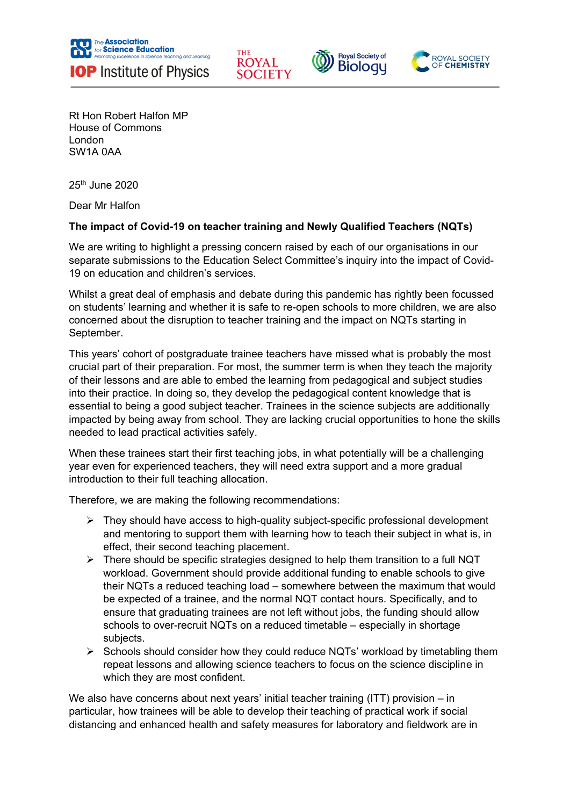







Rt Hon Robert Halfon MP House of Commons London SW1A 0AA

25th June 2020

Dear Mr Halfon

## **The impact of Covid-19 on teacher training and Newly Qualified Teachers (NQTs)**

We are writing to highlight a pressing concern raised by each of our organisations in our separate submissions to the Education Select Committee's inquiry into the impact of Covid-19 on education and children's services.

Whilst a great deal of emphasis and debate during this pandemic has rightly been focussed on students' learning and whether it is safe to re-open schools to more children, we are also concerned about the disruption to teacher training and the impact on NQTs starting in September.

This years' cohort of postgraduate trainee teachers have missed what is probably the most crucial part of their preparation. For most, the summer term is when they teach the majority of their lessons and are able to embed the learning from pedagogical and subject studies into their practice. In doing so, they develop the pedagogical content knowledge that is essential to being a good subject teacher. Trainees in the science subjects are additionally impacted by being away from school. They are lacking crucial opportunities to hone the skills needed to lead practical activities safely.

When these trainees start their first teaching jobs, in what potentially will be a challenging year even for experienced teachers, they will need extra support and a more gradual introduction to their full teaching allocation.

Therefore, we are making the following recommendations:

- $\triangleright$  They should have access to high-quality subject-specific professional development and mentoring to support them with learning how to teach their subject in what is, in effect, their second teaching placement.
- $\triangleright$  There should be specific strategies designed to help them transition to a full NQT workload. Government should provide additional funding to enable schools to give their NQTs a reduced teaching load – somewhere between the maximum that would be expected of a trainee, and the normal NQT contact hours. Specifically, and to ensure that graduating trainees are not left without jobs, the funding should allow schools to over-recruit NQTs on a reduced timetable – especially in shortage subjects.
- $\triangleright$  Schools should consider how they could reduce NQTs' workload by timetabling them repeat lessons and allowing science teachers to focus on the science discipline in which they are most confident.

We also have concerns about next years' initial teacher training (ITT) provision – in particular, how trainees will be able to develop their teaching of practical work if social distancing and enhanced health and safety measures for laboratory and fieldwork are in